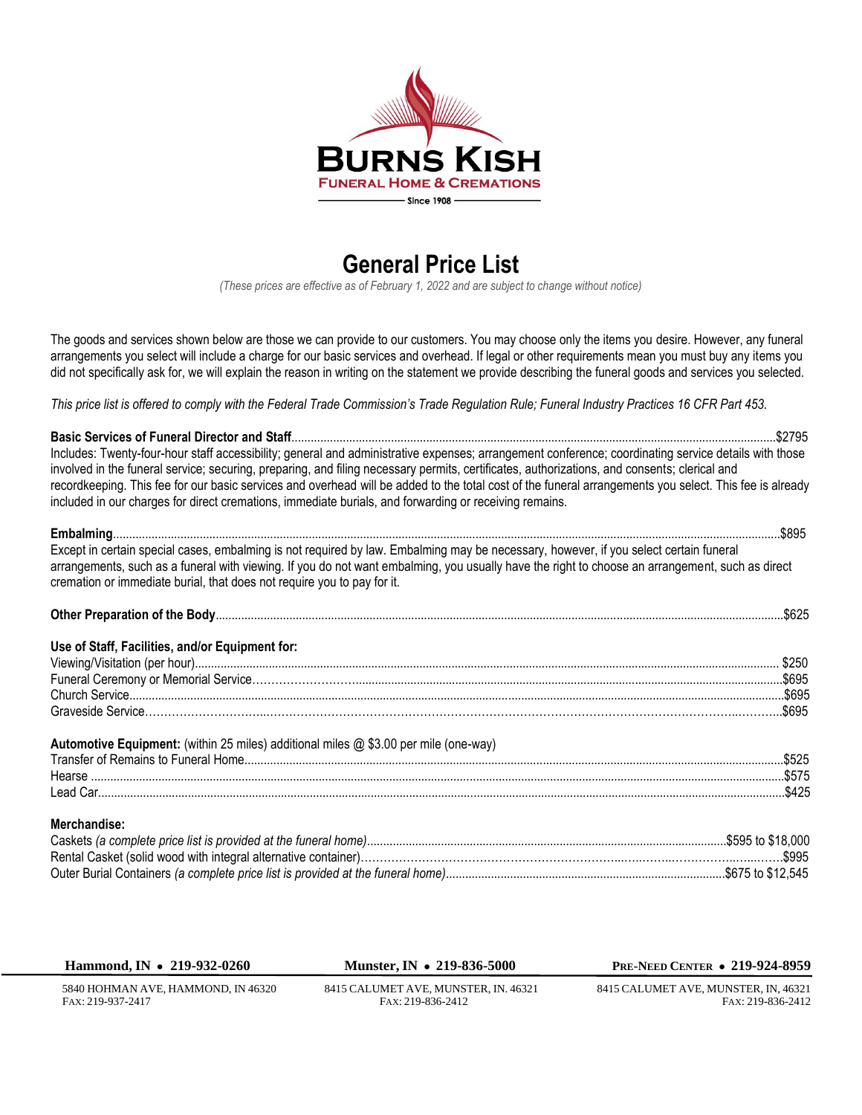

## **General Price List**

*(These prices are effective as of February 1, 2022 and are subject to change without notice)*

The goods and services shown below are those we can provide to our customers. You may choose only the items you desire. However, any funeral arrangements you select will include a charge for our basic services and overhead. If legal or other requirements mean you must buy any items you did not specifically ask for, we will explain the reason in writing on the statement we provide describing the funeral goods and services you selected.

*This price list is offered to comply with the Federal Trade Commission's Trade Regulation Rule; Funeral Industry Practices 16 CFR Part 453.*

| Includes: Twenty-four-hour staff accessibility; general and administrative expenses; arrangement conference; coordinating service details with those                                                                       |  |
|----------------------------------------------------------------------------------------------------------------------------------------------------------------------------------------------------------------------------|--|
| involved in the funeral service; securing, preparing, and filing necessary permits, certificates, authorizations, and consents; clerical and                                                                               |  |
| recordkeeping. This fee for our basic services and overhead will be added to the total cost of the funeral arrangements you select. This fee is already                                                                    |  |
| included in our charges for direct cremations, immediate burials, and forwarding or receiving remains.                                                                                                                     |  |
|                                                                                                                                                                                                                            |  |
| Except in certain special cases, embalming is not required by law. Embalming may be necessary, however, if you select certain funeral                                                                                      |  |
| arrangements, such as a funeral with viewing. If you do not want embalming, you usually have the right to choose an arrangement, such as direct<br>cremation or immediate burial, that does not require you to pay for it. |  |
|                                                                                                                                                                                                                            |  |
| Use of Staff, Facilities, and/or Equipment for:                                                                                                                                                                            |  |
|                                                                                                                                                                                                                            |  |
|                                                                                                                                                                                                                            |  |
|                                                                                                                                                                                                                            |  |
|                                                                                                                                                                                                                            |  |
|                                                                                                                                                                                                                            |  |
| Automotive Equipment: (within 25 miles) additional miles @ \$3.00 per mile (one-way)                                                                                                                                       |  |
|                                                                                                                                                                                                                            |  |
|                                                                                                                                                                                                                            |  |
|                                                                                                                                                                                                                            |  |
| Merchandise:                                                                                                                                                                                                               |  |
|                                                                                                                                                                                                                            |  |

| Hammond, IN $\bullet$ 219-932-0260 | Munster, IN • 219-836-5000           | <b>PRE-NEED CENTER • 219-924-8959</b> |
|------------------------------------|--------------------------------------|---------------------------------------|
| 5840 HOHMAN AVE, HAMMOND, IN 46320 | 8415 CALUMET AVE, MUNSTER, IN. 46321 | 8415 CALUMET AVE. MUNSTER. IN. 46321  |
| FAX: 219-937-2417                  | FAX: 219-836-2412                    | FAX: 219-836-2412                     |